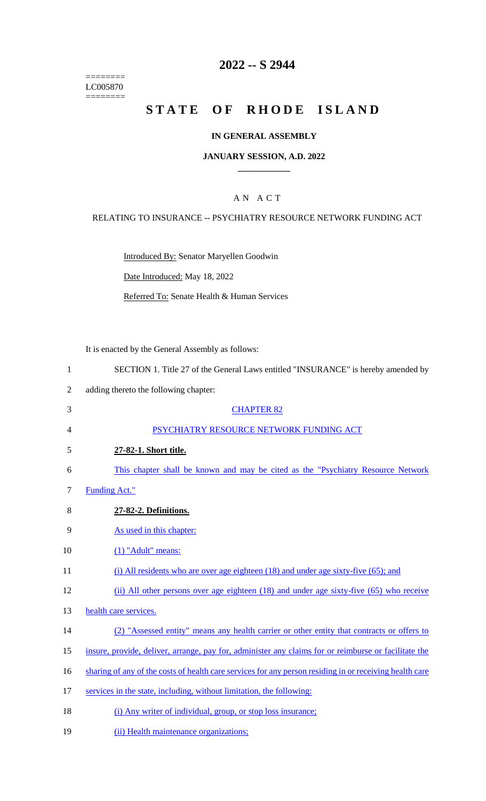======== LC005870 ========

## **2022 -- S 2944**

# **STATE OF RHODE ISLAND**

### **IN GENERAL ASSEMBLY**

### **JANUARY SESSION, A.D. 2022 \_\_\_\_\_\_\_\_\_\_\_\_**

### A N A C T

### RELATING TO INSURANCE -- PSYCHIATRY RESOURCE NETWORK FUNDING ACT

Introduced By: Senator Maryellen Goodwin

Date Introduced: May 18, 2022

Referred To: Senate Health & Human Services

It is enacted by the General Assembly as follows:

- 1 SECTION 1. Title 27 of the General Laws entitled "INSURANCE" is hereby amended by
- 2 adding thereto the following chapter:
- 3 CHAPTER 82 4 PSYCHIATRY RESOURCE NETWORK FUNDING ACT 5 **27-82-1. Short title.**  6 This chapter shall be known and may be cited as the "Psychiatry Resource Network 7 Funding Act." 8 **27-82-2. Definitions.**  9 As used in this chapter: 10 (1) "Adult" means: 11 (i) All residents who are over age eighteen (18) and under age sixty-five (65); and 12 (ii) All other persons over age eighteen (18) and under age sixty-five (65) who receive 13 health care services. 14 (2) "Assessed entity" means any health carrier or other entity that contracts or offers to
- 15 insure, provide, deliver, arrange, pay for, administer any claims for or reimburse or facilitate the
- 16 sharting of any of the costs of health care services for any person residing in or receiving health care
- 17 services in the state, including, without limitation, the following:
- 18 (i) Any writer of individual, group, or stop loss insurance;
- 19 (ii) Health maintenance organizations;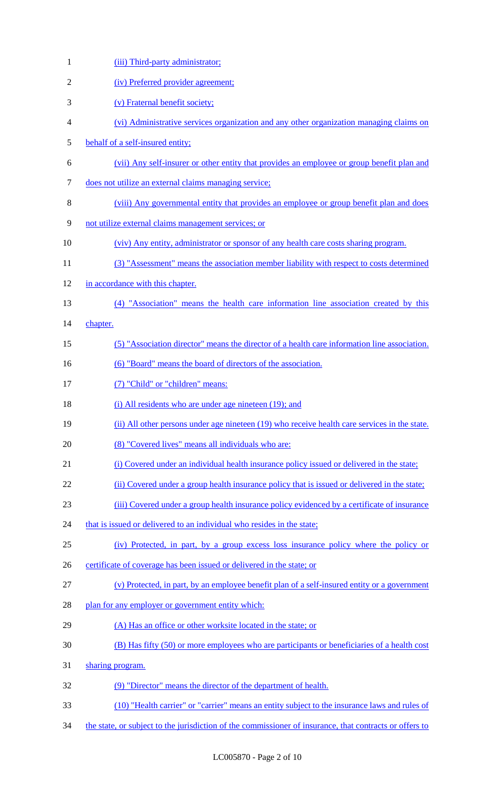| $\mathbf{1}$   | (iii) Third-party administrator;                                                                        |
|----------------|---------------------------------------------------------------------------------------------------------|
| $\overline{2}$ | (iv) Preferred provider agreement;                                                                      |
| 3              | (v) Fraternal benefit society;                                                                          |
| 4              | (vi) Administrative services organization and any other organization managing claims on                 |
| 5              | behalf of a self-insured entity;                                                                        |
| 6              | (vii) Any self-insurer or other entity that provides an employee or group benefit plan and              |
| 7              | does not utilize an external claims managing service;                                                   |
| 8              | (viii) Any governmental entity that provides an employee or group benefit plan and does                 |
| 9              | not utilize external claims management services; or                                                     |
| 10             | (viv) Any entity, administrator or sponsor of any health care costs sharing program.                    |
| 11             | (3) "Assessment" means the association member liability with respect to costs determined                |
| 12             | in accordance with this chapter.                                                                        |
| 13             | (4) "Association" means the health care information line association created by this                    |
| 14             | chapter.                                                                                                |
| 15             | (5) "Association director" means the director of a health care information line association.            |
| 16             | (6) "Board" means the board of directors of the association.                                            |
| 17             | (7) "Child" or "children" means:                                                                        |
| 18             | (i) All residents who are under age nineteen (19); and                                                  |
| 19             | (ii) All other persons under age nineteen (19) who receive health care services in the state.           |
| 20             | (8) "Covered lives" means all individuals who are:                                                      |
| 21             | (i) Covered under an individual health insurance policy issued or delivered in the state;               |
| 22             | (ii) Covered under a group health insurance policy that is issued or delivered in the state;            |
| 23             | (iii) Covered under a group health insurance policy evidenced by a certificate of insurance             |
| 24             | that is issued or delivered to an individual who resides in the state;                                  |
| 25             | (iv) Protected, in part, by a group excess loss insurance policy where the policy or                    |
| 26             | certificate of coverage has been issued or delivered in the state; or                                   |
| 27             | (v) Protected, in part, by an employee benefit plan of a self-insured entity or a government            |
| 28             | plan for any employer or government entity which:                                                       |
| 29             | (A) Has an office or other worksite located in the state; or                                            |
| 30             | (B) Has fifty (50) or more employees who are participants or beneficiaries of a health cost             |
| 31             | sharing program.                                                                                        |
| 32             | (9) "Director" means the director of the department of health.                                          |
| 33             | (10) "Health carrier" or "carrier" means an entity subject to the insurance laws and rules of           |
| 34             | the state, or subject to the jurisdiction of the commissioner of insurance, that contracts or offers to |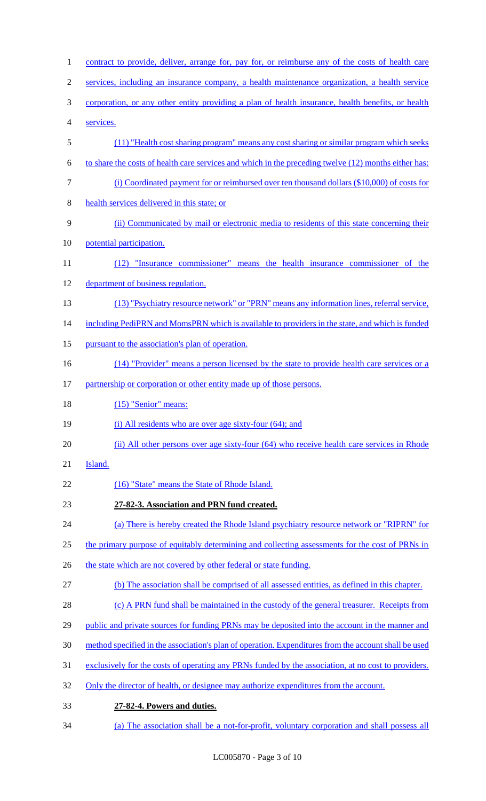1 contract to provide, deliver, arrange for, pay for, or reimburse any of the costs of health care 2 services, including an insurance company, a health maintenance organization, a health service 3 corporation, or any other entity providing a plan of health insurance, health benefits, or health 4 services. 5 (11) "Health cost sharing program" means any cost sharing or similar program which seeks 6 to share the costs of health care services and which in the preceding twelve (12) months either has: 7 (i) Coordinated payment for or reimbursed over ten thousand dollars (\$10,000) of costs for 8 health services delivered in this state; or 9 (ii) Communicated by mail or electronic media to residents of this state concerning their 10 potential participation. 11 (12) "Insurance commissioner" means the health insurance commissioner of the 12 department of business regulation. 13 (13) "Psychiatry resource network" or "PRN" means any information lines, referral service, 14 including PediPRN and MomsPRN which is available to providers in the state, and which is funded 15 pursuant to the association's plan of operation. 16 (14) "Provider" means a person licensed by the state to provide health care services or a 17 partnership or corporation or other entity made up of those persons. 18 (15) "Senior" means: 19 (i) All residents who are over age sixty-four (64); and 20 (ii) All other persons over age sixty-four (64) who receive health care services in Rhode 21 **Island**. 22 (16) "State" means the State of Rhode Island. 23 **27-82-3. Association and PRN fund created.**  24 (a) There is hereby created the Rhode Island psychiatry resource network or "RIPRN" for 25 the primary purpose of equitably determining and collecting assessments for the cost of PRNs in 26 the state which are not covered by other federal or state funding. 27 (b) The association shall be comprised of all assessed entities, as defined in this chapter. 28 (c) A PRN fund shall be maintained in the custody of the general treasurer. Receipts from 29 public and private sources for funding PRNs may be deposited into the account in the manner and 30 method specified in the association's plan of operation. Expenditures from the account shall be used 31 exclusively for the costs of operating any PRNs funded by the association, at no cost to providers. 32 Only the director of health, or designee may authorize expenditures from the account. 33 **27-82-4. Powers and duties.**  34 (a) The association shall be a not-for-profit, voluntary corporation and shall possess all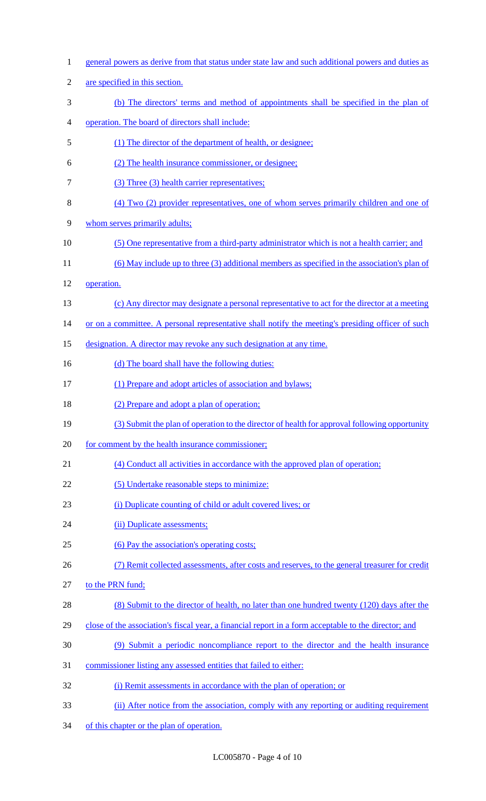| $\mathbf{1}$   | general powers as derive from that status under state law and such additional powers and duties as   |
|----------------|------------------------------------------------------------------------------------------------------|
| $\overline{2}$ | are specified in this section.                                                                       |
| $\mathfrak{Z}$ | (b) The directors' terms and method of appointments shall be specified in the plan of                |
| 4              | operation. The board of directors shall include:                                                     |
| 5              | (1) The director of the department of health, or designee;                                           |
| 6              | (2) The health insurance commissioner, or designee;                                                  |
| 7              | (3) Three (3) health carrier representatives;                                                        |
| 8              | (4) Two (2) provider representatives, one of whom serves primarily children and one of               |
| 9              | whom serves primarily adults;                                                                        |
| 10             | (5) One representative from a third-party administrator which is not a health carrier; and           |
| 11             | $(6)$ May include up to three $(3)$ additional members as specified in the association's plan of     |
| 12             | operation.                                                                                           |
| 13             | (c) Any director may designate a personal representative to act for the director at a meeting        |
| 14             | or on a committee. A personal representative shall notify the meeting's presiding officer of such    |
| 15             | designation. A director may revoke any such designation at any time.                                 |
| 16             | (d) The board shall have the following duties:                                                       |
| 17             | (1) Prepare and adopt articles of association and bylaws;                                            |
| 18             | (2) Prepare and adopt a plan of operation;                                                           |
| 19             | (3) Submit the plan of operation to the director of health for approval following opportunity        |
| 20             | for comment by the health insurance commissioner;                                                    |
| 21             | (4) Conduct all activities in accordance with the approved plan of operation;                        |
| 22             | (5) Undertake reasonable steps to minimize:                                                          |
| 23             | (i) Duplicate counting of child or adult covered lives; or                                           |
| 24             | (ii) Duplicate assessments;                                                                          |
| 25             | (6) Pay the association's operating costs;                                                           |
| 26             | (7) Remit collected assessments, after costs and reserves, to the general treasurer for credit       |
| 27             | to the PRN fund;                                                                                     |
| 28             | (8) Submit to the director of health, no later than one hundred twenty (120) days after the          |
| 29             | close of the association's fiscal year, a financial report in a form acceptable to the director; and |
| 30             | (9) Submit a periodic noncompliance report to the director and the health insurance                  |
| 31             | commissioner listing any assessed entities that failed to either:                                    |
| 32             | (i) Remit assessments in accordance with the plan of operation; or                                   |
| 33             | (ii) After notice from the association, comply with any reporting or auditing requirement            |

of this chapter or the plan of operation.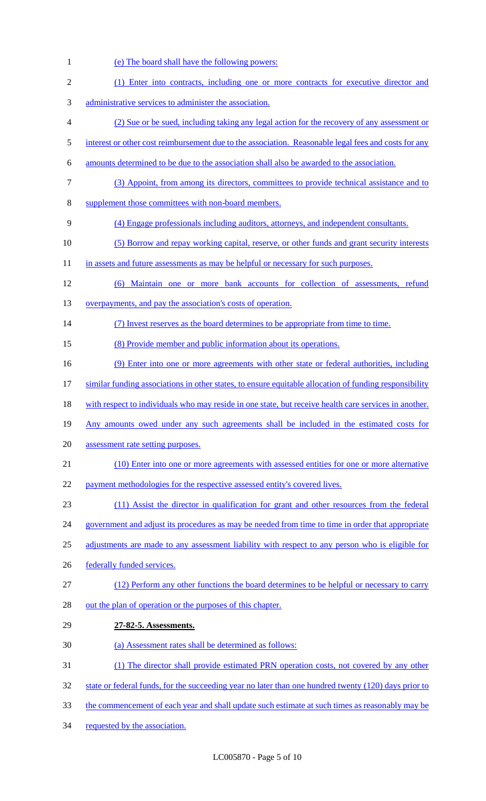(e) The board shall have the following powers: (1) Enter into contracts, including one or more contracts for executive director and administrative services to administer the association. (2) Sue or be sued, including taking any legal action for the recovery of any assessment or 5 interest or other cost reimbursement due to the association. Reasonable legal fees and costs for any amounts determined to be due to the association shall also be awarded to the association. (3) Appoint, from among its directors, committees to provide technical assistance and to supplement those committees with non-board members. (4) Engage professionals including auditors, attorneys, and independent consultants. (5) Borrow and repay working capital, reserve, or other funds and grant security interests 11 in assets and future assessments as may be helpful or necessary for such purposes. (6) Maintain one or more bank accounts for collection of assessments, refund 13 overpayments, and pay the association's costs of operation. (7) Invest reserves as the board determines to be appropriate from time to time. (8) Provide member and public information about its operations. 16 (9) Enter into one or more agreements with other state or federal authorities, including similar funding associations in other states, to ensure equitable allocation of funding responsibility 18 with respect to individuals who may reside in one state, but receive health care services in another. Any amounts owed under any such agreements shall be included in the estimated costs for assessment rate setting purposes. (10) Enter into one or more agreements with assessed entities for one or more alternative 22 payment methodologies for the respective assessed entity's covered lives. (11) Assist the director in qualification for grant and other resources from the federal 24 government and adjust its procedures as may be needed from time to time in order that appropriate 25 adjustments are made to any assessment liability with respect to any person who is eligible for 26 federally funded services. 27 (12) Perform any other functions the board determines to be helpful or necessary to carry 28 out the plan of operation or the purposes of this chapter. **27-82-5. Assessments.**  (a) Assessment rates shall be determined as follows: (1) The director shall provide estimated PRN operation costs, not covered by any other 32 state or federal funds, for the succeeding year no later than one hundred twenty (120) days prior to 33 the commencement of each year and shall update such estimate at such times as reasonably may be requested by the association.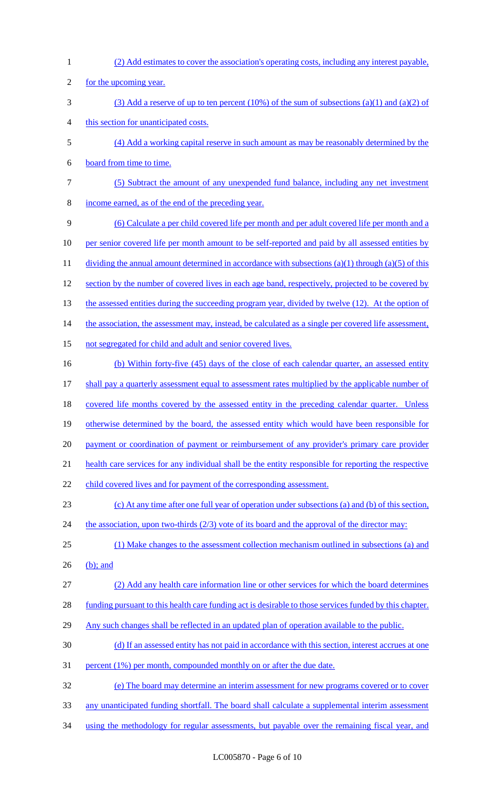(2) Add estimates to cover the association's operating costs, including any interest payable, 2 for the upcoming year. (3) Add a reserve of up to ten percent (10%) of the sum of subsections (a)(1) and (a)(2) of this section for unanticipated costs. (4) Add a working capital reserve in such amount as may be reasonably determined by the board from time to time. (5) Subtract the amount of any unexpended fund balance, including any net investment income earned, as of the end of the preceding year. (6) Calculate a per child covered life per month and per adult covered life per month and a 10 per senior covered life per month amount to be self-reported and paid by all assessed entities by 11 dividing the annual amount determined in accordance with subsections (a)(1) through (a)(5) of this 12 section by the number of covered lives in each age band, respectively, projected to be covered by 13 the assessed entities during the succeeding program year, divided by twelve (12). At the option of 14 the association, the assessment may, instead, be calculated as a single per covered life assessment, not segregated for child and adult and senior covered lives. (b) Within forty-five (45) days of the close of each calendar quarter, an assessed entity shall pay a quarterly assessment equal to assessment rates multiplied by the applicable number of 18 covered life months covered by the assessed entity in the preceding calendar quarter. Unless otherwise determined by the board, the assessed entity which would have been responsible for 20 payment or coordination of payment or reimbursement of any provider's primary care provider health care services for any individual shall be the entity responsible for reporting the respective 22 child covered lives and for payment of the corresponding assessment. (c) At any time after one full year of operation under subsections (a) and (b) of this section, 24 the association, upon two-thirds (2/3) vote of its board and the approval of the director may: (1) Make changes to the assessment collection mechanism outlined in subsections (a) and (b); and (2) Add any health care information line or other services for which the board determines funding pursuant to this health care funding act is desirable to those services funded by this chapter. 29 Any such changes shall be reflected in an updated plan of operation available to the public. (d) If an assessed entity has not paid in accordance with this section, interest accrues at one percent (1%) per month, compounded monthly on or after the due date. (e) The board may determine an interim assessment for new programs covered or to cover any unanticipated funding shortfall. The board shall calculate a supplemental interim assessment 34 using the methodology for regular assessments, but payable over the remaining fiscal year, and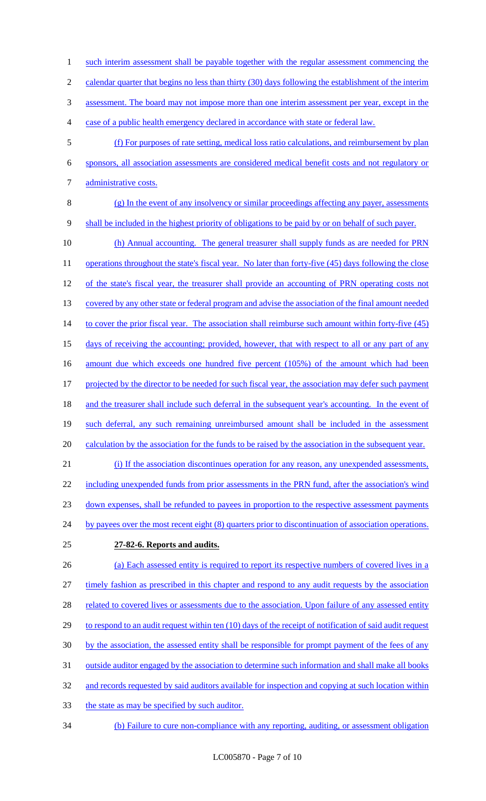1 such interim assessment shall be payable together with the regular assessment commencing the

2 calendar quarter that begins no less than thirty (30) days following the establishment of the interim

3 assessment. The board may not impose more than one interim assessment per year, except in the

- 4 case of a public health emergency declared in accordance with state or federal law.
- 5 (f) For purposes of rate setting, medical loss ratio calculations, and reimbursement by plan 6 sponsors, all association assessments are considered medical benefit costs and not regulatory or 7 administrative costs.
- 
- 8 (g) In the event of any insolvency or similar proceedings affecting any payer, assessments 9 shall be included in the highest priority of obligations to be paid by or on behalf of such payer.
- 10 (h) Annual accounting. The general treasurer shall supply funds as are needed for PRN 11 operations throughout the state's fiscal year. No later than forty-five (45) days following the close 12 of the state's fiscal year, the treasurer shall provide an accounting of PRN operating costs not 13 covered by any other state or federal program and advise the association of the final amount needed 14 to cover the prior fiscal year. The association shall reimburse such amount within forty-five (45) 15 days of receiving the accounting; provided, however, that with respect to all or any part of any 16 amount due which exceeds one hundred five percent (105%) of the amount which had been 17 projected by the director to be needed for such fiscal year, the association may defer such payment 18 and the treasurer shall include such deferral in the subsequent year's accounting. In the event of 19 such deferral, any such remaining unreimbursed amount shall be included in the assessment 20 calculation by the association for the funds to be raised by the association in the subsequent year. 21 (i) If the association discontinues operation for any reason, any unexpended assessments,
- 22 including unexpended funds from prior assessments in the PRN fund, after the association's wind 23 down expenses, shall be refunded to payees in proportion to the respective assessment payments 24 by payees over the most recent eight (8) quarters prior to discontinuation of association operations.
- 

# 25 **27-82-6. Reports and audits.**

- 26 (a) Each assessed entity is required to report its respective numbers of covered lives in a 27 timely fashion as prescribed in this chapter and respond to any audit requests by the association 28 related to covered lives or assessments due to the association. Upon failure of any assessed entity 29 to respond to an audit request within ten (10) days of the receipt of notification of said audit request 30 by the association, the assessed entity shall be responsible for prompt payment of the fees of any 31 outside auditor engaged by the association to determine such information and shall make all books 32 and records requested by said auditors available for inspection and copying at such location within 33 the state as may be specified by such auditor.
- 34 (b) Failure to cure non-compliance with any reporting, auditing, or assessment obligation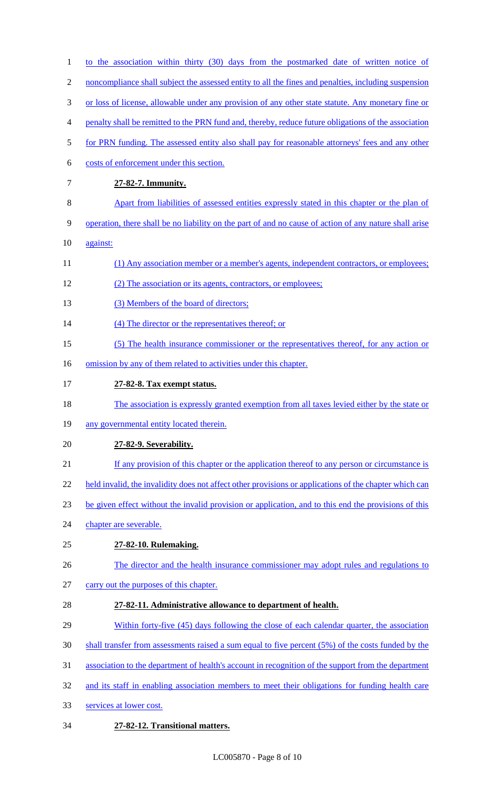| $\mathbf{1}$   | to the association within thirty (30) days from the postmarked date of written notice of               |
|----------------|--------------------------------------------------------------------------------------------------------|
| $\overline{2}$ | noncompliance shall subject the assessed entity to all the fines and penalties, including suspension   |
| 3              | or loss of license, allowable under any provision of any other state statute. Any monetary fine or     |
| 4              | penalty shall be remitted to the PRN fund and, thereby, reduce future obligations of the association   |
| 5              | for PRN funding. The assessed entity also shall pay for reasonable attorneys' fees and any other       |
| 6              | costs of enforcement under this section.                                                               |
| 7              | 27-82-7. Immunity.                                                                                     |
| 8              | Apart from liabilities of assessed entities expressly stated in this chapter or the plan of            |
| 9              | operation, there shall be no liability on the part of and no cause of action of any nature shall arise |
| 10             | against:                                                                                               |
|                | (1) Any association member or a member's agents, independent contractors, or employees;                |
|                | (2) The association or its agents, contractors, or employees;                                          |
|                | (3) Members of the board of directors;                                                                 |
|                | (4) The director or the representatives thereof; or                                                    |
|                | (5) The health insurance commissioner or the representatives thereof, for any action or                |
|                | omission by any of them related to activities under this chapter.                                      |
|                | 27-82-8. Tax exempt status.                                                                            |
|                | The association is expressly granted exemption from all taxes levied either by the state or            |
|                | any governmental entity located therein.                                                               |
|                | 27-82-9. Severability.                                                                                 |
|                | If any provision of this chapter or the application thereof to any person or circumstance is           |
|                | held invalid, the invalidity does not affect other provisions or applications of the chapter which can |
|                | be given effect without the invalid provision or application, and to this end the provisions of this   |
|                | chapter are severable.                                                                                 |
|                | 27-82-10. Rulemaking.                                                                                  |
|                | The director and the health insurance commissioner may adopt rules and regulations to                  |
|                | carry out the purposes of this chapter.                                                                |
|                | 27-82-11. Administrative allowance to department of health.                                            |
|                | Within forty-five (45) days following the close of each calendar quarter, the association              |
|                | shall transfer from assessments raised a sum equal to five percent (5%) of the costs funded by the     |
|                | association to the department of health's account in recognition of the support from the department    |
|                | and its staff in enabling association members to meet their obligations for funding health care        |
|                | services at lower cost.                                                                                |
| 34             | 27-82-12. Transitional matters.                                                                        |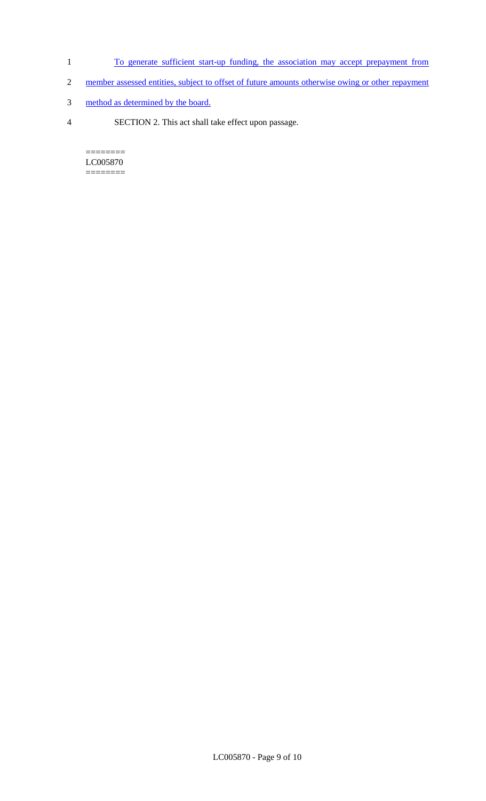- 1 To generate sufficient start-up funding, the association may accept prepayment from
- 2 member assessed entities, subject to offset of future amounts otherwise owing or other repayment
- 3 method as determined by the board.
- 4 SECTION 2. This act shall take effect upon passage.

======== LC005870  $=$